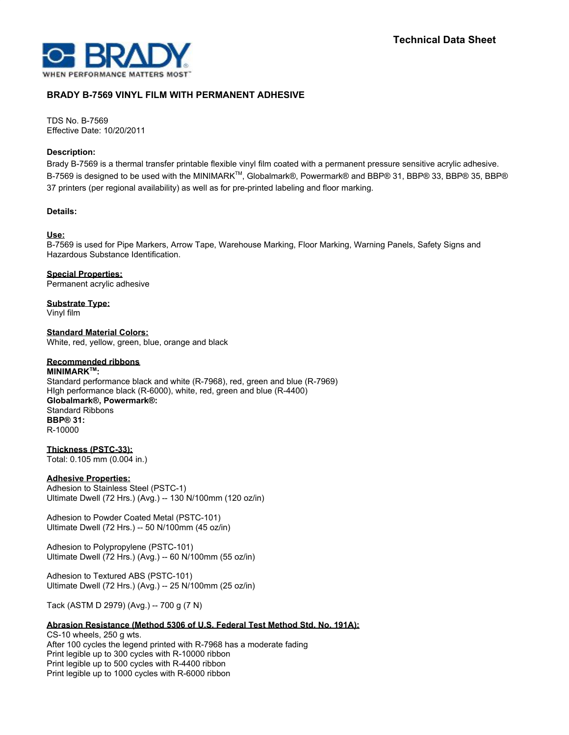

# **BRADY B-7569 VINYL FILM WITH PERMANENT ADHESIVE**

TDS No. B-7569 Effective Date: 10/20/2011

## **Description:**

Brady B-7569 is a thermal transfer printable flexible vinyl film coated with a permanent pressure sensitive acrylic adhesive. B-7569 is designed to be used with the MINIMARK™, Globalmark®, Powermark® and BBP® 31, BBP® 33, BBP® 35, BBP® 37 printers (per regional availability) as well as for pre-printed labeling and floor marking.

## **Details:**

## **Use:**

B-7569 is used for Pipe Markers, Arrow Tape, Warehouse Marking, Floor Marking, Warning Panels, Safety Signs and Hazardous Substance Identification.

**Special Properties:** Permanent acrylic adhesive

**Substrate Type:** Vinyl film

**Standard Material Colors:** White, red, yellow, green, blue, orange and black

## **Recommended ribbons**

**MINIMARKTM :** Standard performance black and white (R-7968), red, green and blue (R-7969) HIgh performance black (R-6000), white, red, green and blue (R-4400) **Globalmark®, Powermark®:** Standard Ribbons **BBP® 31:** R-10000

**Thickness (PSTC-33):** Total: 0.105 mm (0.004 in.)

## **Adhesive Properties:**

Adhesion to Stainless Steel (PSTC-1) Ultimate Dwell (72 Hrs.) (Avg.) -- 130 N/100mm (120 oz/in)

Adhesion to Powder Coated Metal (PSTC-101) Ultimate Dwell (72 Hrs.) -- 50 N/100mm (45 oz/in)

Adhesion to Polypropylene (PSTC-101) Ultimate Dwell (72 Hrs.) (Avg.) -- 60 N/100mm (55 oz/in)

Adhesion to Textured ABS (PSTC-101) Ultimate Dwell (72 Hrs.) (Avg.) -- 25 N/100mm (25 oz/in)

Tack (ASTM D 2979) (Avg.) -- 700 g (7 N)

## **Abrasion Resistance (Method 5306 of U.S. Federal Test Method Std. No. 191A):**

CS-10 wheels, 250 g wts. After 100 cycles the legend printed with R-7968 has a moderate fading Print legible up to 300 cycles with R-10000 ribbon Print legible up to 500 cycles with R-4400 ribbon Print legible up to 1000 cycles with R-6000 ribbon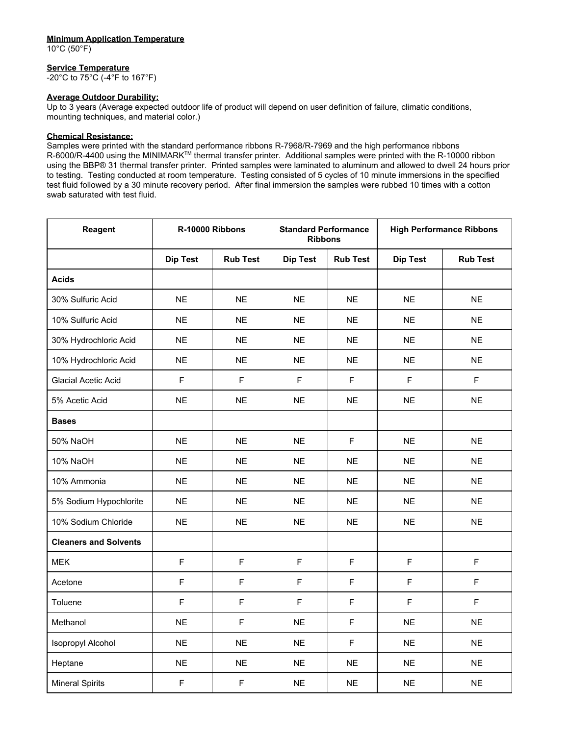#### **Minimum Application Temperature**

10°C (50°F)

#### **Service Temperature**

-20°C to 75°C (-4°F to 167°F)

#### **Average Outdoor Durability:**

Up to 3 years (Average expected outdoor life of product will depend on user definition of failure, climatic conditions, mounting techniques, and material color.)

#### **Chemical Resistance:**

Samples were printed with the standard performance ribbons R-7968/R-7969 and the high performance ribbons R-6000/R-4400 using the MINIMARK™ thermal transfer printer. Additional samples were printed with the R-10000 ribbon using the BBP® 31 thermal transfer printer. Printed samples were laminated to aluminum and allowed to dwell 24 hours prior to testing. Testing conducted at room temperature. Testing consisted of 5 cycles of 10 minute immersions in the specified test fluid followed by a 30 minute recovery period. After final immersion the samples were rubbed 10 times with a cotton swab saturated with test fluid.

| <b>Reagent</b>               | R-10000 Ribbons |                 | <b>Standard Performance</b><br><b>Ribbons</b> |                 | <b>High Performance Ribbons</b> |                 |
|------------------------------|-----------------|-----------------|-----------------------------------------------|-----------------|---------------------------------|-----------------|
|                              | <b>Dip Test</b> | <b>Rub Test</b> | <b>Dip Test</b>                               | <b>Rub Test</b> | <b>Dip Test</b>                 | <b>Rub Test</b> |
| <b>Acids</b>                 |                 |                 |                                               |                 |                                 |                 |
| 30% Sulfuric Acid            | <b>NE</b>       | <b>NE</b>       | <b>NE</b>                                     | <b>NE</b>       | <b>NE</b>                       | <b>NE</b>       |
| 10% Sulfuric Acid            | <b>NE</b>       | <b>NE</b>       | <b>NE</b>                                     | <b>NE</b>       | <b>NE</b>                       | <b>NE</b>       |
| 30% Hydrochloric Acid        | <b>NE</b>       | <b>NE</b>       | <b>NE</b>                                     | <b>NE</b>       | <b>NE</b>                       | <b>NE</b>       |
| 10% Hydrochloric Acid        | <b>NE</b>       | <b>NE</b>       | <b>NE</b>                                     | <b>NE</b>       | <b>NE</b>                       | <b>NE</b>       |
| <b>Glacial Acetic Acid</b>   | F               | F               | $\mathsf F$                                   | F               | F                               | F               |
| 5% Acetic Acid               | <b>NE</b>       | <b>NE</b>       | <b>NE</b>                                     | <b>NE</b>       | <b>NE</b>                       | <b>NE</b>       |
| <b>Bases</b>                 |                 |                 |                                               |                 |                                 |                 |
| 50% NaOH                     | <b>NE</b>       | <b>NE</b>       | <b>NE</b>                                     | $\mathsf F$     | <b>NE</b>                       | <b>NE</b>       |
| 10% NaOH                     | <b>NE</b>       | <b>NE</b>       | <b>NE</b>                                     | <b>NE</b>       | <b>NE</b>                       | <b>NE</b>       |
| 10% Ammonia                  | <b>NE</b>       | <b>NE</b>       | <b>NE</b>                                     | <b>NE</b>       | <b>NE</b>                       | <b>NE</b>       |
| 5% Sodium Hypochlorite       | <b>NE</b>       | <b>NE</b>       | <b>NE</b>                                     | <b>NE</b>       | <b>NE</b>                       | <b>NE</b>       |
| 10% Sodium Chloride          | <b>NE</b>       | <b>NE</b>       | <b>NE</b>                                     | <b>NE</b>       | <b>NE</b>                       | <b>NE</b>       |
| <b>Cleaners and Solvents</b> |                 |                 |                                               |                 |                                 |                 |
| <b>MEK</b>                   | F               | F               | $\mathsf F$                                   | F               | F                               | F               |
| Acetone                      | F               | $\mathsf F$     | $\mathsf F$                                   | F               | F                               | F               |
| Toluene                      | F               | F               | F                                             | F               | F                               | F               |
| Methanol                     | <b>NE</b>       | F               | <b>NE</b>                                     | F               | <b>NE</b>                       | <b>NE</b>       |
| Isopropyl Alcohol            | <b>NE</b>       | <b>NE</b>       | <b>NE</b>                                     | $\mathsf F$     | <b>NE</b>                       | <b>NE</b>       |
| Heptane                      | <b>NE</b>       | <b>NE</b>       | <b>NE</b>                                     | <b>NE</b>       | <b>NE</b>                       | <b>NE</b>       |
| <b>Mineral Spirits</b>       | $\mathsf F$     | F               | <b>NE</b>                                     | <b>NE</b>       | <b>NE</b>                       | <b>NE</b>       |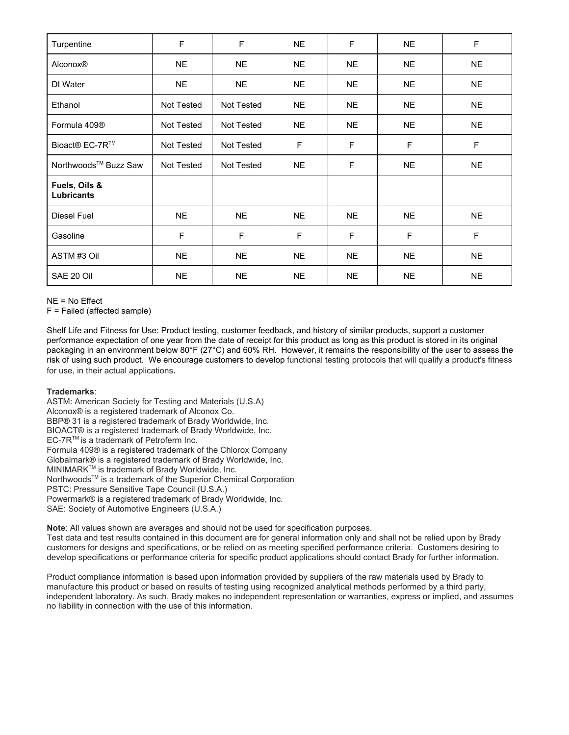| Turpentine                         | F          | F                 | <b>NE</b> | F         | <b>NE</b> | $\mathsf F$ |
|------------------------------------|------------|-------------------|-----------|-----------|-----------|-------------|
| Alconox®                           | <b>NE</b>  | <b>NE</b>         | <b>NE</b> | <b>NE</b> | <b>NE</b> | <b>NE</b>   |
| DI Water                           | <b>NE</b>  | <b>NE</b>         | <b>NE</b> | <b>NE</b> | <b>NE</b> | <b>NE</b>   |
| Ethanol                            | Not Tested | <b>Not Tested</b> | <b>NE</b> | <b>NE</b> | <b>NE</b> | <b>NE</b>   |
| Formula 409 <sup>®</sup>           | Not Tested | Not Tested        | <b>NE</b> | <b>NE</b> | <b>NE</b> | <b>NE</b>   |
| Bioact® EC-7R™                     | Not Tested | Not Tested        | F         | F         | F         | F           |
| Northwoods <sup>™</sup> Buzz Saw   | Not Tested | Not Tested        | <b>NE</b> | F         | <b>NE</b> | <b>NE</b>   |
| Fuels, Oils &<br><b>Lubricants</b> |            |                   |           |           |           |             |
| Diesel Fuel                        | <b>NE</b>  | <b>NE</b>         | <b>NE</b> | <b>NE</b> | <b>NE</b> | <b>NE</b>   |
| Gasoline                           | F          | F                 | F         | F         | F         | F           |
| ASTM #3 Oil                        | <b>NE</b>  | <b>NE</b>         | <b>NE</b> | <b>NE</b> | <b>NE</b> | <b>NE</b>   |
| SAE 20 Oil                         | <b>NE</b>  | <b>NE</b>         | <b>NE</b> | <b>NE</b> | <b>NE</b> | <b>NE</b>   |

NE = No Effect

F = Failed (affected sample)

Shelf Life and Fitness for Use: Product testing, customer feedback, and history of similar products, support a customer performance expectation of one year from the date of receipt for this product as long as this product is stored in its original packaging in an environment below 80°F (27°C) and 60% RH. However, it remains the responsibility of the user to assess the risk of using such product. We encourage customers to develop functional testing protocols that will qualify a product's fitness for use, in their actual applications.

## **Trademarks**:

ASTM: American Society for Testing and Materials (U.S.A) Alconox® is a registered trademark of Alconox Co. BBP® 31 is a registered trademark of Brady Worldwide, Inc. BIOACT® is a registered trademark of Brady Worldwide, Inc. EC-7R<sup>™</sup> is a trademark of Petroferm Inc. Formula 409® is a registered trademark of the Chlorox Company Globalmark® is a registered trademark of Brady Worldwide, Inc. MINIMARK<sup>™</sup> is trademark of Brady Worldwide, Inc. Northwoods<sup>™</sup> is a trademark of the Superior Chemical Corporation PSTC: Pressure Sensitive Tape Council (U.S.A.) Powermark® is a registered trademark of Brady Worldwide, Inc. SAE: Society of Automotive Engineers (U.S.A.)

**Note**: All values shown are averages and should not be used for specification purposes.

Test data and test results contained in this document are for general information only and shall not be relied upon by Brady customers for designs and specifications, or be relied on as meeting specified performance criteria. Customers desiring to develop specifications or performance criteria for specific product applications should contact Brady for further information.

Product compliance information is based upon information provided by suppliers of the raw materials used by Brady to manufacture this product or based on results of testing using recognized analytical methods performed by a third party, independent laboratory. As such, Brady makes no independent representation or warranties, express or implied, and assumes no liability in connection with the use of this information.